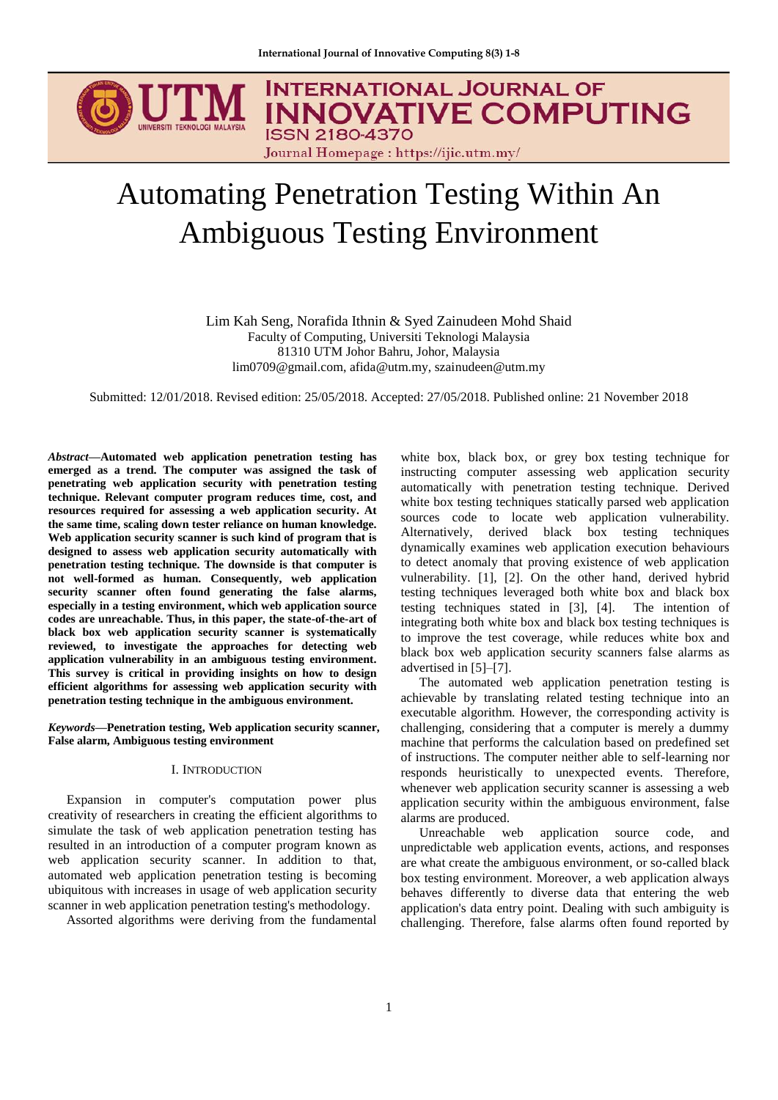

# Automating Penetration Testing Within An Ambiguous Testing Environment

Lim Kah Seng, Norafida Ithnin & Syed Zainudeen Mohd Shaid Faculty of Computing, Universiti Teknologi Malaysia 81310 UTM Johor Bahru, Johor, Malaysia lim0709@gmail.com, afida@utm.my, szainudeen@utm.my

Submitted: 12/01/2018. Revised edition: 25/05/2018. Accepted: 27/05/2018. Published online: 21 November 2018

*Abstract***—Automated web application penetration testing has emerged as a trend. The computer was assigned the task of penetrating web application security with penetration testing technique. Relevant computer program reduces time, cost, and resources required for assessing a web application security. At the same time, scaling down tester reliance on human knowledge. Web application security scanner is such kind of program that is designed to assess web application security automatically with penetration testing technique. The downside is that computer is not well-formed as human. Consequently, web application security scanner often found generating the false alarms, especially in a testing environment, which web application source codes are unreachable. Thus, in this paper, the state-of-the-art of black box web application security scanner is systematically reviewed, to investigate the approaches for detecting web application vulnerability in an ambiguous testing environment. This survey is critical in providing insights on how to design efficient algorithms for assessing web application security with penetration testing technique in the ambiguous environment.**

*Keywords***—Penetration testing, Web application security scanner, False alarm, Ambiguous testing environment**

#### I. INTRODUCTION

Expansion in computer's computation power plus creativity of researchers in creating the efficient algorithms to simulate the task of web application penetration testing has resulted in an introduction of a computer program known as web application security scanner. In addition to that, automated web application penetration testing is becoming ubiquitous with increases in usage of web application security scanner in web application penetration testing's methodology.

Assorted algorithms were deriving from the fundamental

white box, black box, or grey box testing technique for instructing computer assessing web application security automatically with penetration testing technique. Derived white box testing techniques statically parsed web application sources code to locate web application vulnerability. Alternatively, derived black box testing techniques dynamically examines web application execution behaviours to detect anomaly that proving existence of web application vulnerability. [1], [2]. On the other hand, derived hybrid testing techniques leveraged both white box and black box testing techniques stated in [3], [4]. The intention of integrating both white box and black box testing techniques is to improve the test coverage, while reduces white box and black box web application security scanners false alarms as advertised in [5]–[7].

The automated web application penetration testing is achievable by translating related testing technique into an executable algorithm. However, the corresponding activity is challenging, considering that a computer is merely a dummy machine that performs the calculation based on predefined set of instructions. The computer neither able to self-learning nor responds heuristically to unexpected events. Therefore, whenever web application security scanner is assessing a web application security within the ambiguous environment, false alarms are produced.

Unreachable web application source code, and unpredictable web application events, actions, and responses are what create the ambiguous environment, or so-called black box testing environment. Moreover, a web application always behaves differently to diverse data that entering the web application's data entry point. Dealing with such ambiguity is challenging. Therefore, false alarms often found reported by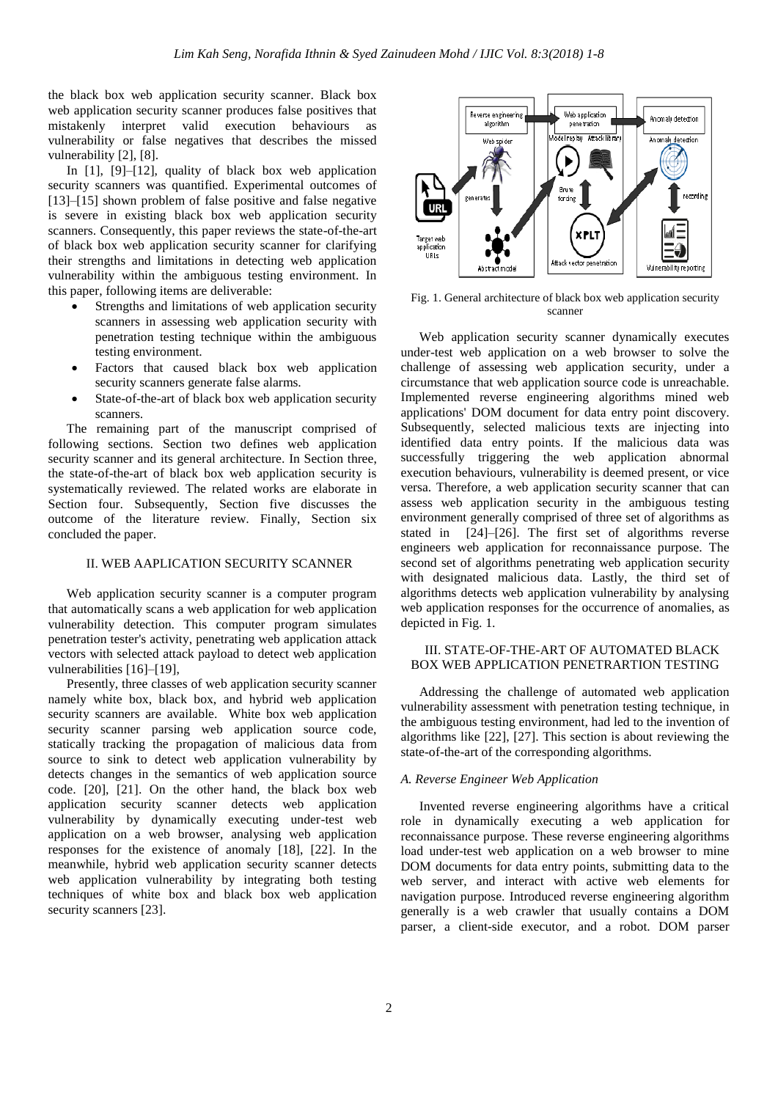the black box web application security scanner. Black box web application security scanner produces false positives that mistakenly interpret valid execution behaviours as vulnerability or false negatives that describes the missed vulnerability [2], [8].

In [1], [9]–[12], quality of black box web application security scanners was quantified. Experimental outcomes of [13]–[15] shown problem of false positive and false negative is severe in existing black box web application security scanners. Consequently, this paper reviews the state-of-the-art of black box web application security scanner for clarifying their strengths and limitations in detecting web application vulnerability within the ambiguous testing environment. In this paper, following items are deliverable:

- Strengths and limitations of web application security scanners in assessing web application security with penetration testing technique within the ambiguous testing environment.
- Factors that caused black box web application security scanners generate false alarms.
- State-of-the-art of black box web application security scanners.

The remaining part of the manuscript comprised of following sections. Section two defines web application security scanner and its general architecture. In Section three, the state-of-the-art of black box web application security is systematically reviewed. The related works are elaborate in Section four. Subsequently, Section five discusses the outcome of the literature review. Finally, Section six concluded the paper.

# II. WEB AAPLICATION SECURITY SCANNER

Web application security scanner is a computer program that automatically scans a web application for web application vulnerability detection. This computer program simulates penetration tester's activity, penetrating web application attack vectors with selected attack payload to detect web application vulnerabilities [16]–[19],

Presently, three classes of web application security scanner namely white box, black box, and hybrid web application security scanners are available. White box web application security scanner parsing web application source code, statically tracking the propagation of malicious data from source to sink to detect web application vulnerability by detects changes in the semantics of web application source code. [20], [21]. On the other hand, the black box web application security scanner detects web application vulnerability by dynamically executing under-test web application on a web browser, analysing web application responses for the existence of anomaly [18], [22]. In the meanwhile, hybrid web application security scanner detects web application vulnerability by integrating both testing techniques of white box and black box web application security scanners [23].



Fig. 1. General architecture of black box web application security scanner

Web application security scanner dynamically executes under-test web application on a web browser to solve the challenge of assessing web application security, under a circumstance that web application source code is unreachable. Implemented reverse engineering algorithms mined web applications' DOM document for data entry point discovery. Subsequently, selected malicious texts are injecting into identified data entry points. If the malicious data was successfully triggering the web application abnormal execution behaviours, vulnerability is deemed present, or vice versa. Therefore, a web application security scanner that can assess web application security in the ambiguous testing environment generally comprised of three set of algorithms as stated in [24]–[26]. The first set of algorithms reverse engineers web application for reconnaissance purpose. The second set of algorithms penetrating web application security with designated malicious data. Lastly, the third set of algorithms detects web application vulnerability by analysing web application responses for the occurrence of anomalies, as depicted in Fig. 1.

# III. STATE-OF-THE-ART OF AUTOMATED BLACK BOX WEB APPLICATION PENETRARTION TESTING

Addressing the challenge of automated web application vulnerability assessment with penetration testing technique, in the ambiguous testing environment, had led to the invention of algorithms like [22], [27]. This section is about reviewing the state-of-the-art of the corresponding algorithms.

#### *A. Reverse Engineer Web Application*

Invented reverse engineering algorithms have a critical role in dynamically executing a web application for reconnaissance purpose. These reverse engineering algorithms load under-test web application on a web browser to mine DOM documents for data entry points, submitting data to the web server, and interact with active web elements for navigation purpose. Introduced reverse engineering algorithm generally is a web crawler that usually contains a DOM parser, a client-side executor, and a robot. DOM parser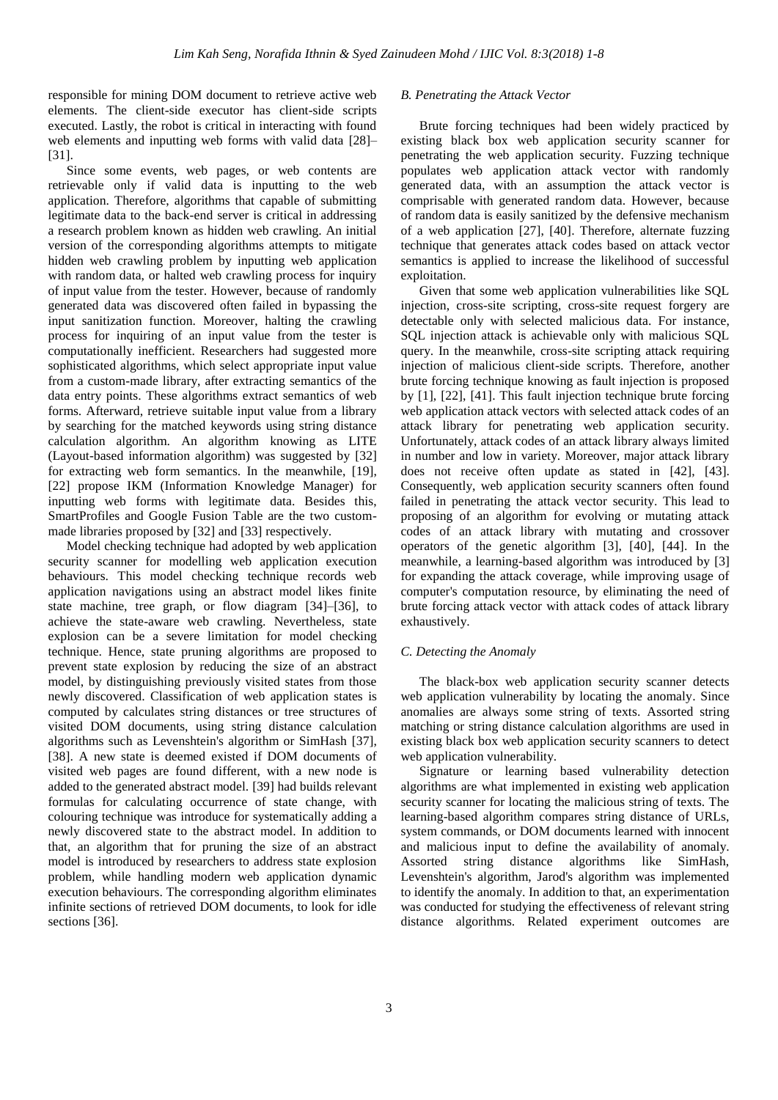responsible for mining DOM document to retrieve active web elements. The client-side executor has client-side scripts executed. Lastly, the robot is critical in interacting with found web elements and inputting web forms with valid data [28]– [31].

Since some events, web pages, or web contents are retrievable only if valid data is inputting to the web application. Therefore, algorithms that capable of submitting legitimate data to the back-end server is critical in addressing a research problem known as hidden web crawling. An initial version of the corresponding algorithms attempts to mitigate hidden web crawling problem by inputting web application with random data, or halted web crawling process for inquiry of input value from the tester. However, because of randomly generated data was discovered often failed in bypassing the input sanitization function. Moreover, halting the crawling process for inquiring of an input value from the tester is computationally inefficient. Researchers had suggested more sophisticated algorithms, which select appropriate input value from a custom-made library, after extracting semantics of the data entry points. These algorithms extract semantics of web forms. Afterward, retrieve suitable input value from a library by searching for the matched keywords using string distance calculation algorithm. An algorithm knowing as LITE (Layout-based information algorithm) was suggested by [32] for extracting web form semantics. In the meanwhile, [19], [22] propose IKM (Information Knowledge Manager) for inputting web forms with legitimate data. Besides this, SmartProfiles and Google Fusion Table are the two custommade libraries proposed by [32] and [33] respectively.

Model checking technique had adopted by web application security scanner for modelling web application execution behaviours. This model checking technique records web application navigations using an abstract model likes finite state machine, tree graph, or flow diagram [34]–[36], to achieve the state-aware web crawling. Nevertheless, state explosion can be a severe limitation for model checking technique. Hence, state pruning algorithms are proposed to prevent state explosion by reducing the size of an abstract model, by distinguishing previously visited states from those newly discovered. Classification of web application states is computed by calculates string distances or tree structures of visited DOM documents, using string distance calculation algorithms such as Levenshtein's algorithm or SimHash [37], [38]. A new state is deemed existed if DOM documents of visited web pages are found different, with a new node is added to the generated abstract model. [39] had builds relevant formulas for calculating occurrence of state change, with colouring technique was introduce for systematically adding a newly discovered state to the abstract model. In addition to that, an algorithm that for pruning the size of an abstract model is introduced by researchers to address state explosion problem, while handling modern web application dynamic execution behaviours. The corresponding algorithm eliminates infinite sections of retrieved DOM documents, to look for idle sections [36].

# *B. Penetrating the Attack Vector*

Brute forcing techniques had been widely practiced by existing black box web application security scanner for penetrating the web application security. Fuzzing technique populates web application attack vector with randomly generated data, with an assumption the attack vector is comprisable with generated random data. However, because of random data is easily sanitized by the defensive mechanism of a web application [27], [40]. Therefore, alternate fuzzing technique that generates attack codes based on attack vector semantics is applied to increase the likelihood of successful exploitation.

Given that some web application vulnerabilities like SQL injection, cross-site scripting, cross-site request forgery are detectable only with selected malicious data. For instance, SQL injection attack is achievable only with malicious SQL query. In the meanwhile, cross-site scripting attack requiring injection of malicious client-side scripts. Therefore, another brute forcing technique knowing as fault injection is proposed by [1], [22], [41]. This fault injection technique brute forcing web application attack vectors with selected attack codes of an attack library for penetrating web application security. Unfortunately, attack codes of an attack library always limited in number and low in variety. Moreover, major attack library does not receive often update as stated in [42], [43]. Consequently, web application security scanners often found failed in penetrating the attack vector security. This lead to proposing of an algorithm for evolving or mutating attack codes of an attack library with mutating and crossover operators of the genetic algorithm [3], [40], [44]. In the meanwhile, a learning-based algorithm was introduced by [3] for expanding the attack coverage, while improving usage of computer's computation resource, by eliminating the need of brute forcing attack vector with attack codes of attack library exhaustively.

# *C. Detecting the Anomaly*

The black-box web application security scanner detects web application vulnerability by locating the anomaly. Since anomalies are always some string of texts. Assorted string matching or string distance calculation algorithms are used in existing black box web application security scanners to detect web application vulnerability.

Signature or learning based vulnerability detection algorithms are what implemented in existing web application security scanner for locating the malicious string of texts. The learning-based algorithm compares string distance of URLs, system commands, or DOM documents learned with innocent and malicious input to define the availability of anomaly. Assorted string distance algorithms like SimHash, Levenshtein's algorithm, Jarod's algorithm was implemented to identify the anomaly. In addition to that, an experimentation was conducted for studying the effectiveness of relevant string distance algorithms. Related experiment outcomes are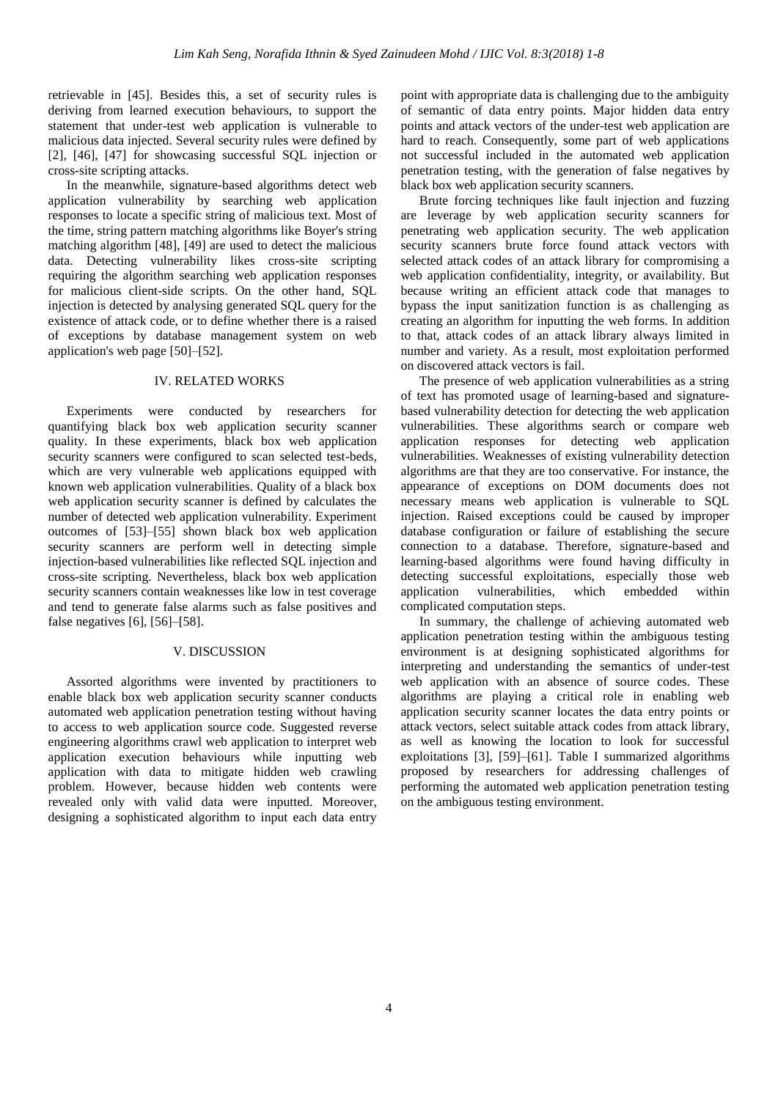retrievable in [45]. Besides this, a set of security rules is deriving from learned execution behaviours, to support the statement that under-test web application is vulnerable to malicious data injected. Several security rules were defined by [2], [46], [47] for showcasing successful SQL injection or cross-site scripting attacks.

In the meanwhile, signature-based algorithms detect web application vulnerability by searching web application responses to locate a specific string of malicious text. Most of the time, string pattern matching algorithms like Boyer's string matching algorithm [48], [49] are used to detect the malicious data. Detecting vulnerability likes cross-site scripting requiring the algorithm searching web application responses for malicious client-side scripts. On the other hand, SQL injection is detected by analysing generated SQL query for the existence of attack code, or to define whether there is a raised of exceptions by database management system on web application's web page [50]–[52].

## IV. RELATED WORKS

Experiments were conducted by researchers for quantifying black box web application security scanner quality. In these experiments, black box web application security scanners were configured to scan selected test-beds, which are very vulnerable web applications equipped with known web application vulnerabilities. Quality of a black box web application security scanner is defined by calculates the number of detected web application vulnerability. Experiment outcomes of [53]–[55] shown black box web application security scanners are perform well in detecting simple injection-based vulnerabilities like reflected SQL injection and cross-site scripting. Nevertheless, black box web application security scanners contain weaknesses like low in test coverage and tend to generate false alarms such as false positives and false negatives [6], [56]–[58].

#### V. DISCUSSION

Assorted algorithms were invented by practitioners to enable black box web application security scanner conducts automated web application penetration testing without having to access to web application source code. Suggested reverse engineering algorithms crawl web application to interpret web application execution behaviours while inputting web application with data to mitigate hidden web crawling problem. However, because hidden web contents were revealed only with valid data were inputted. Moreover, designing a sophisticated algorithm to input each data entry

point with appropriate data is challenging due to the ambiguity of semantic of data entry points. Major hidden data entry points and attack vectors of the under-test web application are hard to reach. Consequently, some part of web applications not successful included in the automated web application penetration testing, with the generation of false negatives by black box web application security scanners.

Brute forcing techniques like fault injection and fuzzing are leverage by web application security scanners for penetrating web application security. The web application security scanners brute force found attack vectors with selected attack codes of an attack library for compromising a web application confidentiality, integrity, or availability. But because writing an efficient attack code that manages to bypass the input sanitization function is as challenging as creating an algorithm for inputting the web forms. In addition to that, attack codes of an attack library always limited in number and variety. As a result, most exploitation performed on discovered attack vectors is fail.

The presence of web application vulnerabilities as a string of text has promoted usage of learning-based and signaturebased vulnerability detection for detecting the web application vulnerabilities. These algorithms search or compare web application responses for detecting web application vulnerabilities. Weaknesses of existing vulnerability detection algorithms are that they are too conservative. For instance, the appearance of exceptions on DOM documents does not necessary means web application is vulnerable to SQL injection. Raised exceptions could be caused by improper database configuration or failure of establishing the secure connection to a database. Therefore, signature-based and learning-based algorithms were found having difficulty in detecting successful exploitations, especially those web application vulnerabilities, which embedded within complicated computation steps.

In summary, the challenge of achieving automated web application penetration testing within the ambiguous testing environment is at designing sophisticated algorithms for interpreting and understanding the semantics of under-test web application with an absence of source codes. These algorithms are playing a critical role in enabling web application security scanner locates the data entry points or attack vectors, select suitable attack codes from attack library, as well as knowing the location to look for successful exploitations [3], [59]-[61]. Table I summarized algorithms proposed by researchers for addressing challenges of performing the automated web application penetration testing on the ambiguous testing environment.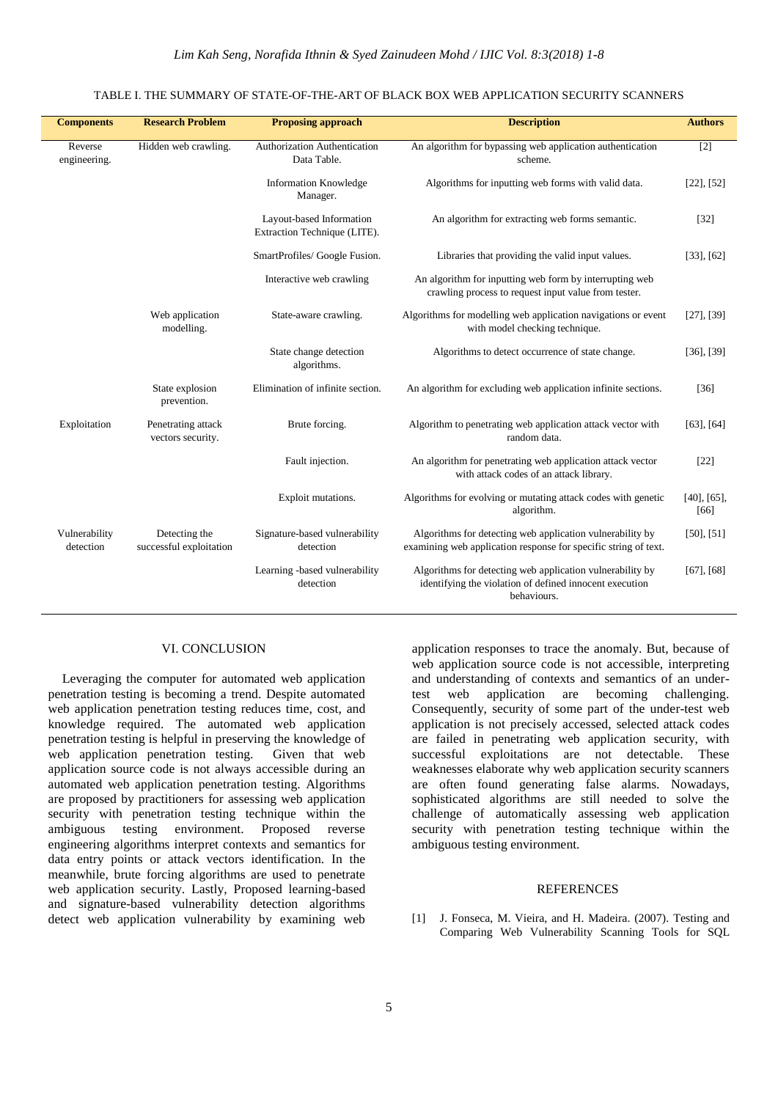#### TABLE I. THE SUMMARY OF STATE-OF-THE-ART OF BLACK BOX WEB APPLICATION SECURITY SCANNERS

| <b>Components</b>          | <b>Research Problem</b>                  | <b>Proposing approach</b>                                | <b>Description</b>                                                                                                                  | <b>Authors</b>            |
|----------------------------|------------------------------------------|----------------------------------------------------------|-------------------------------------------------------------------------------------------------------------------------------------|---------------------------|
| Reverse<br>engineering.    | Hidden web crawling.                     | Authorization Authentication<br>Data Table.              | An algorithm for bypassing web application authentication<br>scheme.                                                                | $[2]$                     |
|                            |                                          | <b>Information Knowledge</b><br>Manager.                 | Algorithms for inputting web forms with valid data.                                                                                 | $[22]$ , $[52]$           |
|                            |                                          | Layout-based Information<br>Extraction Technique (LITE). | An algorithm for extracting web forms semantic.                                                                                     | $[32]$                    |
|                            |                                          | SmartProfiles/ Google Fusion.                            | Libraries that providing the valid input values.                                                                                    | $[33]$ , $[62]$           |
|                            |                                          | Interactive web crawling                                 | An algorithm for inputting web form by interrupting web<br>crawling process to request input value from tester.                     |                           |
|                            | Web application<br>modelling.            | State-aware crawling.                                    | Algorithms for modelling web application navigations or event<br>with model checking technique.                                     | $[27]$ , $[39]$           |
|                            |                                          | State change detection<br>algorithms.                    | Algorithms to detect occurrence of state change.                                                                                    | $[36]$ , $[39]$           |
|                            | State explosion<br>prevention.           | Elimination of infinite section.                         | An algorithm for excluding web application infinite sections.                                                                       | $[36]$                    |
| Exploitation               | Penetrating attack<br>vectors security.  | Brute forcing.                                           | Algorithm to penetrating web application attack vector with<br>random data.                                                         | $[63]$ , $[64]$           |
|                            |                                          | Fault injection.                                         | An algorithm for penetrating web application attack vector<br>with attack codes of an attack library.                               | $[22]$                    |
|                            |                                          | Exploit mutations.                                       | Algorithms for evolving or mutating attack codes with genetic<br>algorithm.                                                         | $[40]$ , $[65]$ ,<br>[66] |
| Vulnerability<br>detection | Detecting the<br>successful exploitation | Signature-based vulnerability<br>detection               | Algorithms for detecting web application vulnerability by<br>examining web application response for specific string of text.        | $[50]$ , $[51]$           |
|                            |                                          | Learning -based vulnerability<br>detection               | Algorithms for detecting web application vulnerability by<br>identifying the violation of defined innocent execution<br>behaviours. | $[67]$ , $[68]$           |

### VI. CONCLUSION

Leveraging the computer for automated web application penetration testing is becoming a trend. Despite automated web application penetration testing reduces time, cost, and knowledge required. The automated web application penetration testing is helpful in preserving the knowledge of web application penetration testing. Given that web application source code is not always accessible during an automated web application penetration testing. Algorithms are proposed by practitioners for assessing web application security with penetration testing technique within the ambiguous testing environment. Proposed reverse engineering algorithms interpret contexts and semantics for data entry points or attack vectors identification. In the meanwhile, brute forcing algorithms are used to penetrate web application security. Lastly, Proposed learning-based and signature-based vulnerability detection algorithms detect web application vulnerability by examining web

application responses to trace the anomaly. But, because of web application source code is not accessible, interpreting and understanding of contexts and semantics of an undertest web application are becoming challenging. Consequently, security of some part of the under-test web application is not precisely accessed, selected attack codes are failed in penetrating web application security, with successful exploitations are not detectable. These weaknesses elaborate why web application security scanners are often found generating false alarms. Nowadays, sophisticated algorithms are still needed to solve the challenge of automatically assessing web application security with penetration testing technique within the ambiguous testing environment.

#### **REFERENCES**

[1] J. Fonseca, M. Vieira, and H. Madeira. (2007). Testing and Comparing Web Vulnerability Scanning Tools for SQL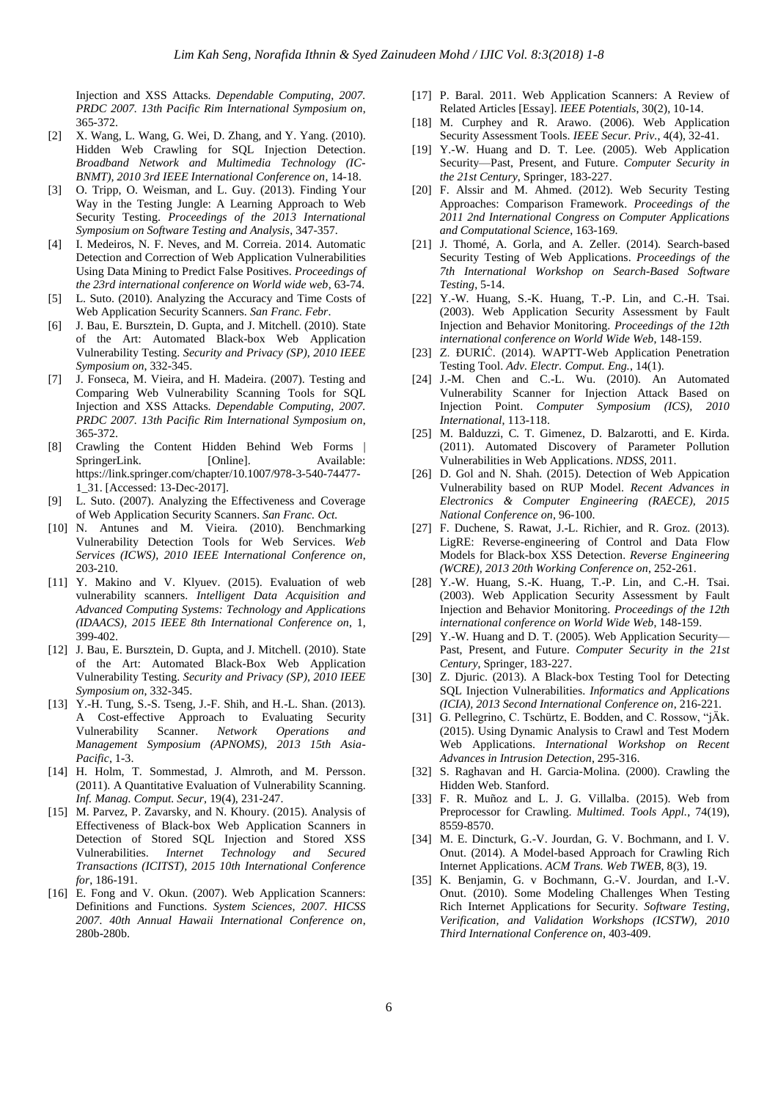Injection and XSS Attacks. *Dependable Computing, 2007. PRDC 2007. 13th Pacific Rim International Symposium on*, 365-372.

- [2] X. Wang, L. Wang, G. Wei, D. Zhang, and Y. Yang. (2010). Hidden Web Crawling for SQL Injection Detection. *Broadband Network and Multimedia Technology (IC-BNMT), 2010 3rd IEEE International Conference on*, 14-18.
- [3] O. Tripp, O. Weisman, and L. Guy. (2013). Finding Your Way in the Testing Jungle: A Learning Approach to Web Security Testing. *Proceedings of the 2013 International Symposium on Software Testing and Analysis*, 347-357.
- [4] I. Medeiros, N. F. Neves, and M. Correia. 2014. Automatic Detection and Correction of Web Application Vulnerabilities Using Data Mining to Predict False Positives. *Proceedings of the 23rd international conference on World wide web*, 63-74.
- [5] L. Suto. (2010). Analyzing the Accuracy and Time Costs of Web Application Security Scanners. *San Franc. Febr*.
- [6] J. Bau, E. Bursztein, D. Gupta, and J. Mitchell. (2010). State of the Art: Automated Black-box Web Application Vulnerability Testing. *Security and Privacy (SP), 2010 IEEE Symposium on*, 332-345.
- [7] J. Fonseca, M. Vieira, and H. Madeira. (2007). Testing and Comparing Web Vulnerability Scanning Tools for SQL Injection and XSS Attacks. *Dependable Computing, 2007. PRDC 2007. 13th Pacific Rim International Symposium on*, 365-372.
- [8] Crawling the Content Hidden Behind Web Forms | SpringerLink. [Online]. Available: https://link.springer.com/chapter/10.1007/978-3-540-74477- 1\_31. [Accessed: 13-Dec-2017].
- [9] L. Suto. (2007). Analyzing the Effectiveness and Coverage of Web Application Security Scanners. *San Franc. Oct.*
- [10] N. Antunes and M. Vieira. (2010). Benchmarking Vulnerability Detection Tools for Web Services. *Web Services (ICWS), 2010 IEEE International Conference on*, 203-210.
- [11] Y. Makino and V. Klyuev. (2015). Evaluation of web vulnerability scanners. *Intelligent Data Acquisition and Advanced Computing Systems: Technology and Applications (IDAACS), 2015 IEEE 8th International Conference on*, 1, 399-402.
- [12] J. Bau, E. Bursztein, D. Gupta, and J. Mitchell. (2010). State of the Art: Automated Black-Box Web Application Vulnerability Testing. *Security and Privacy (SP), 2010 IEEE Symposium on*, 332-345.
- [13] Y.-H. Tung, S.-S. Tseng, J.-F. Shih, and H.-L. Shan. (2013). A Cost-effective Approach to Evaluating Security Vulnerability Scanner. *Network Operations and Management Symposium (APNOMS), 2013 15th Asia-Pacific*, 1-3.
- [14] H. Holm, T. Sommestad, J. Almroth, and M. Persson. (2011). A Quantitative Evaluation of Vulnerability Scanning. *Inf. Manag. Comput. Secur,* 19(4), 231-247.
- [15] M. Parvez, P. Zavarsky, and N. Khoury. (2015). Analysis of Effectiveness of Black-box Web Application Scanners in Detection of Stored SQL Injection and Stored XSS Vulnerabilities. *Internet Technology and Secured Transactions (ICITST), 2015 10th International Conference for*, 186-191.
- [16] E. Fong and V. Okun. (2007). Web Application Scanners: Definitions and Functions. *System Sciences, 2007. HICSS 2007. 40th Annual Hawaii International Conference on*, 280b-280b.
- [17] P. Baral. 2011. Web Application Scanners: A Review of Related Articles [Essay]. *IEEE Potentials*, 30(2), 10-14.
- [18] M. Curphey and R. Arawo. (2006). Web Application Security Assessment Tools. *IEEE Secur. Priv.*, 4(4), 32-41.
- [19] Y.-W. Huang and D. T. Lee. (2005). Web Application Security—Past, Present, and Future. *Computer Security in the 21st Century*, Springer, 183-227.
- [20] F. Alssir and M. Ahmed. (2012). Web Security Testing Approaches: Comparison Framework. *Proceedings of the 2011 2nd International Congress on Computer Applications and Computational Science*, 163-169.
- [21] J. Thomé, A. Gorla, and A. Zeller. (2014). Search-based Security Testing of Web Applications. *Proceedings of the 7th International Workshop on Search-Based Software Testing*, 5-14.
- [22] Y.-W. Huang, S.-K. Huang, T.-P. Lin, and C.-H. Tsai. (2003). Web Application Security Assessment by Fault Injection and Behavior Monitoring. *Proceedings of the 12th international conference on World Wide Web*, 148-159.
- [23] Z. ĐURIĆ. (2014). WAPTT-Web Application Penetration Testing Tool. *Adv. Electr. Comput. Eng.*, 14(1).
- [24] J.-M. Chen and C.-L. Wu. (2010). An Automated Vulnerability Scanner for Injection Attack Based on Injection Point. *Computer Symposium (ICS), 2010 International*, 113-118.
- [25] M. Balduzzi, C. T. Gimenez, D. Balzarotti, and E. Kirda. (2011). Automated Discovery of Parameter Pollution Vulnerabilities in Web Applications. *NDSS*, 2011.
- [26] D. Gol and N. Shah. (2015). Detection of Web Appication Vulnerability based on RUP Model. *Recent Advances in Electronics & Computer Engineering (RAECE), 2015 National Conference on*, 96-100.
- [27] F. Duchene, S. Rawat, J.-L. Richier, and R. Groz. (2013). LigRE: Reverse-engineering of Control and Data Flow Models for Black-box XSS Detection. *Reverse Engineering (WCRE), 2013 20th Working Conference on*, 252-261.
- [28] Y.-W. Huang, S.-K. Huang, T.-P. Lin, and C.-H. Tsai. (2003). Web Application Security Assessment by Fault Injection and Behavior Monitoring. *Proceedings of the 12th international conference on World Wide Web*, 148-159.
- [29] Y.-W. Huang and D. T. (2005). Web Application Security-Past, Present, and Future. *Computer Security in the 21st Century*, Springer, 183-227.
- [30] Z. Djuric. (2013). A Black-box Testing Tool for Detecting SQL Injection Vulnerabilities. *Informatics and Applications (ICIA), 2013 Second International Conference on*, 216-221.
- [31] G. Pellegrino, C. Tschürtz, E. Bodden, and C. Rossow, "jÄk. (2015). Using Dynamic Analysis to Crawl and Test Modern Web Applications. *International Workshop on Recent Advances in Intrusion Detection*, 295-316.
- [32] S. Raghavan and H. Garcia-Molina. (2000). Crawling the Hidden Web. Stanford.
- [33] F. R. Muñoz and L. J. G. Villalba. (2015). Web from Preprocessor for Crawling. *Multimed. Tools Appl.*, 74(19), 8559-8570.
- [34] M. E. Dincturk, G.-V. Jourdan, G. V. Bochmann, and I. V. Onut. (2014). A Model-based Approach for Crawling Rich Internet Applications. *ACM Trans. Web TWEB*, 8(3), 19.
- [35] K. Benjamin, G. v Bochmann, G.-V. Jourdan, and I.-V. Onut. (2010). Some Modeling Challenges When Testing Rich Internet Applications for Security. *Software Testing, Verification, and Validation Workshops (ICSTW), 2010 Third International Conference on*, 403-409.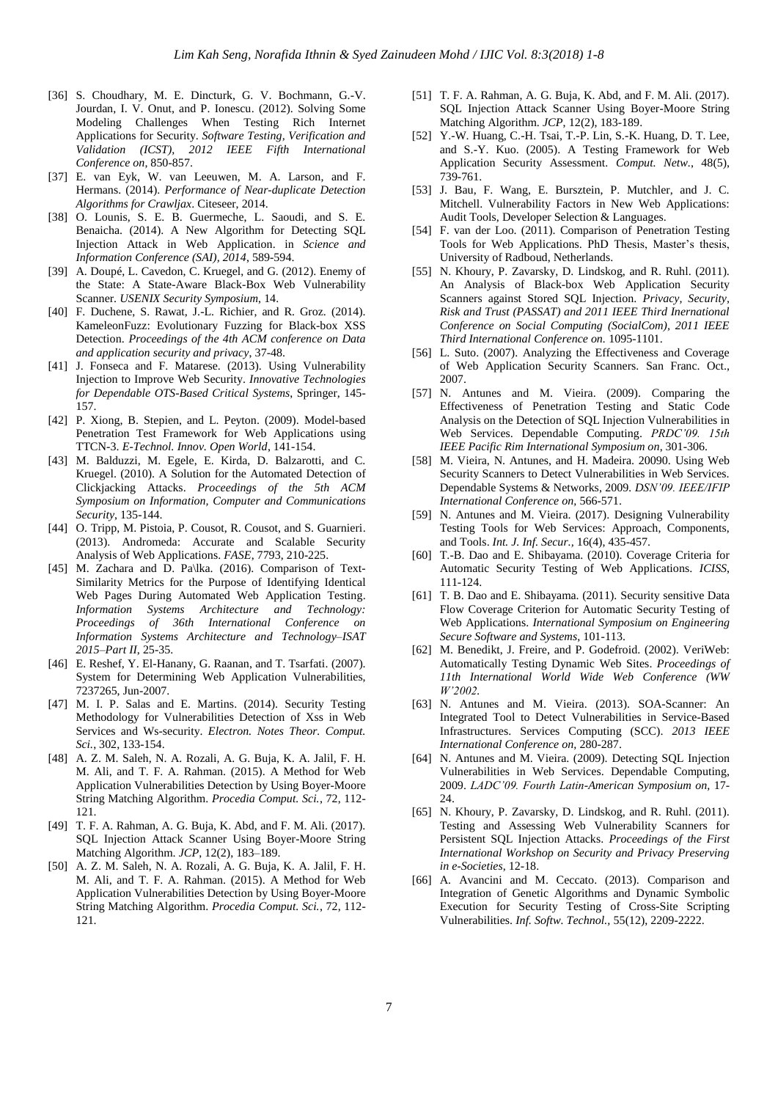- [36] S. Choudhary, M. E. Dincturk, G. V. Bochmann, G.-V. Jourdan, I. V. Onut, and P. Ionescu. (2012). Solving Some Modeling Challenges When Testing Rich Internet Applications for Security. *Software Testing, Verification and Validation (ICST), 2012 IEEE Fifth International Conference on*, 850-857.
- [37] E. van Eyk, W. van Leeuwen, M. A. Larson, and F. Hermans. (2014). *Performance of Near-duplicate Detection Algorithms for Crawljax*. Citeseer, 2014.
- [38] O. Lounis, S. E. B. Guermeche, L. Saoudi, and S. E. Benaicha. (2014). A New Algorithm for Detecting SQL Injection Attack in Web Application. in *Science and Information Conference (SAI), 2014*, 589-594.
- [39] A. Doupé, L. Cavedon, C. Kruegel, and G. (2012). Enemy of the State: A State-Aware Black-Box Web Vulnerability Scanner. *USENIX Security Symposium*, 14.
- [40] F. Duchene, S. Rawat, J.-L. Richier, and R. Groz. (2014). KameleonFuzz: Evolutionary Fuzzing for Black-box XSS Detection. *Proceedings of the 4th ACM conference on Data and application security and privacy*, 37-48.
- [41] J. Fonseca and F. Matarese. (2013). Using Vulnerability Injection to Improve Web Security. *Innovative Technologies for Dependable OTS-Based Critical Systems*, Springer, 145- 157.
- [42] P. Xiong, B. Stepien, and L. Peyton. (2009). Model-based Penetration Test Framework for Web Applications using TTCN-3. *E-Technol. Innov. Open World*, 141-154.
- [43] M. Balduzzi, M. Egele, E. Kirda, D. Balzarotti, and C. Kruegel. (2010). A Solution for the Automated Detection of Clickjacking Attacks. *Proceedings of the 5th ACM Symposium on Information, Computer and Communications Security*, 135-144.
- [44] O. Tripp, M. Pistoia, P. Cousot, R. Cousot, and S. Guarnieri. (2013). Andromeda: Accurate and Scalable Security Analysis of Web Applications. *FASE*, 7793, 210-225.
- [45] M. Zachara and D. Pa\lka. (2016). Comparison of Text-Similarity Metrics for the Purpose of Identifying Identical Web Pages During Automated Web Application Testing. *Information Systems Architecture and Technology: Proceedings of 36th International Conference on Information Systems Architecture and Technology–ISAT 2015–Part II*, 25-35.
- [46] E. Reshef, Y. El-Hanany, G. Raanan, and T. Tsarfati. (2007). System for Determining Web Application Vulnerabilities, 7237265, Jun-2007.
- [47] M. I. P. Salas and E. Martins. (2014). Security Testing Methodology for Vulnerabilities Detection of Xss in Web Services and Ws-security. *Electron. Notes Theor. Comput. Sci.*, 302, 133-154.
- [48] A. Z. M. Saleh, N. A. Rozali, A. G. Buja, K. A. Jalil, F. H. M. Ali, and T. F. A. Rahman. (2015). A Method for Web Application Vulnerabilities Detection by Using Boyer-Moore String Matching Algorithm. *Procedia Comput. Sci.*, 72, 112- 121.
- [49] T. F. A. Rahman, A. G. Buja, K. Abd, and F. M. Ali. (2017). SQL Injection Attack Scanner Using Boyer-Moore String Matching Algorithm. *JCP*, 12(2), 183–189.
- [50] A. Z. M. Saleh, N. A. Rozali, A. G. Buja, K. A. Jalil, F. H. M. Ali, and T. F. A. Rahman. (2015). A Method for Web Application Vulnerabilities Detection by Using Boyer-Moore String Matching Algorithm. *Procedia Comput. Sci.*, 72, 112- 121.
- [51] T. F. A. Rahman, A. G. Buja, K. Abd, and F. M. Ali. (2017). SQL Injection Attack Scanner Using Boyer-Moore String Matching Algorithm. *JCP*, 12(2), 183-189.
- [52] Y.-W. Huang, C.-H. Tsai, T.-P. Lin, S.-K. Huang, D. T. Lee, and S.-Y. Kuo. (2005). A Testing Framework for Web Application Security Assessment. *Comput. Netw.*, 48(5), 739-761.
- [53] J. Bau, F. Wang, E. Bursztein, P. Mutchler, and J. C. Mitchell. Vulnerability Factors in New Web Applications: Audit Tools, Developer Selection & Languages.
- [54] F. van der Loo. (2011). Comparison of Penetration Testing Tools for Web Applications. PhD Thesis, Master's thesis, University of Radboud, Netherlands.
- [55] N. Khoury, P. Zavarsky, D. Lindskog, and R. Ruhl. (2011). An Analysis of Black-box Web Application Security Scanners against Stored SQL Injection. *Privacy, Security, Risk and Trust (PASSAT) and 2011 IEEE Third Inernational Conference on Social Computing (SocialCom), 2011 IEEE Third International Conference on.* 1095-1101.
- [56] L. Suto. (2007). Analyzing the Effectiveness and Coverage of Web Application Security Scanners. San Franc. Oct., 2007.
- [57] N. Antunes and M. Vieira. (2009). Comparing the Effectiveness of Penetration Testing and Static Code Analysis on the Detection of SQL Injection Vulnerabilities in Web Services. Dependable Computing. *PRDC'09. 15th IEEE Pacific Rim International Symposium on*, 301-306.
- [58] M. Vieira, N. Antunes, and H. Madeira. 20090. Using Web Security Scanners to Detect Vulnerabilities in Web Services. Dependable Systems & Networks, 2009*. DSN'09. IEEE/IFIP International Conference on,* 566-571.
- [59] N. Antunes and M. Vieira. (2017). Designing Vulnerability Testing Tools for Web Services: Approach, Components, and Tools. *Int. J. Inf. Secur.,* 16(4), 435-457.
- [60] T.-B. Dao and E. Shibayama. (2010). Coverage Criteria for Automatic Security Testing of Web Applications. *ICISS*, 111-124.
- [61] T. B. Dao and E. Shibayama. (2011). Security sensitive Data Flow Coverage Criterion for Automatic Security Testing of Web Applications. *International Symposium on Engineering Secure Software and Systems*, 101-113.
- [62] M. Benedikt, J. Freire, and P. Godefroid. (2002). VeriWeb: Automatically Testing Dynamic Web Sites. *Proceedings of 11th International World Wide Web Conference (WW W'2002.*
- [63] N. Antunes and M. Vieira. (2013). SOA-Scanner: An Integrated Tool to Detect Vulnerabilities in Service-Based Infrastructures. Services Computing (SCC). *2013 IEEE International Conference on,* 280-287.
- [64] N. Antunes and M. Vieira. (2009). Detecting SQL Injection Vulnerabilities in Web Services. Dependable Computing, 2009. *LADC'09. Fourth Latin-American Symposium on,* 17- 24.
- [65] N. Khoury, P. Zavarsky, D. Lindskog, and R. Ruhl. (2011). Testing and Assessing Web Vulnerability Scanners for Persistent SQL Injection Attacks. *Proceedings of the First International Workshop on Security and Privacy Preserving in e-Societies*, 12-18.
- [66] A. Avancini and M. Ceccato. (2013). Comparison and Integration of Genetic Algorithms and Dynamic Symbolic Execution for Security Testing of Cross-Site Scripting Vulnerabilities. *Inf. Softw. Technol.,* 55(12), 2209-2222.